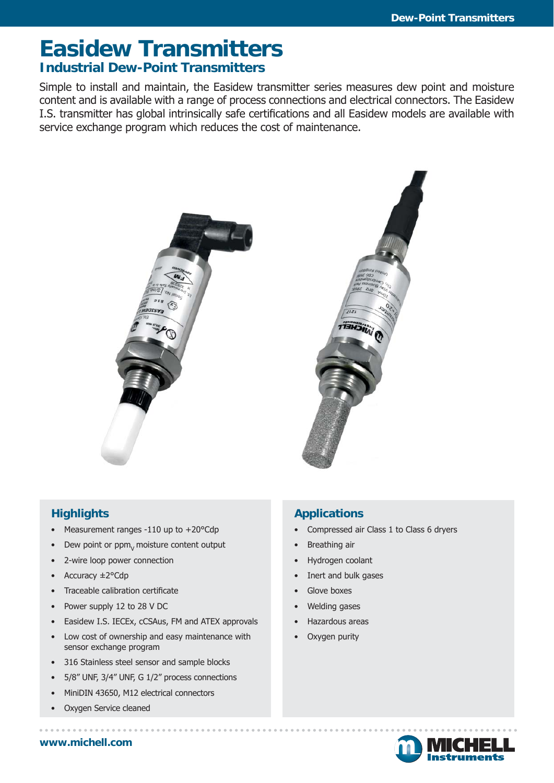# **Easidew Transmitters Industrial Dew-Point Transmitters**

Simple to install and maintain, the Easidew transmitter series measures dew point and moisture content and is available with a range of process connections and electrical connectors. The Easidew I.S. transmitter has global intrinsically safe certifications and all Easidew models are available with service exchange program which reduces the cost of maintenance.





## **Highlights**

- Measurement ranges -110 up to +20°Cdp
- Dew point or ppm<sub>y</sub> moisture content output
- 2-wire loop power connection
- Accuracy ±2°Cdp
- Traceable calibration certificate
- Power supply 12 to 28 V DC
- Easidew I.S. IECEx, cCSAus, FM and ATEX approvals
- Low cost of ownership and easy maintenance with sensor exchange program
- 316 Stainless steel sensor and sample blocks
- 5/8" UNF, 3/4" UNF, G 1/2" process connections
- MiniDIN 43650, M12 electrical connectors
- Oxygen Service cleaned

#### **Applications**

- Compressed air Class 1 to Class 6 dryers
- Breathing air
- Hydrogen coolant
- Inert and bulk gases
- Glove boxes
- Welding gases
- Hazardous areas
- Oxygen purity



**www.michell.com**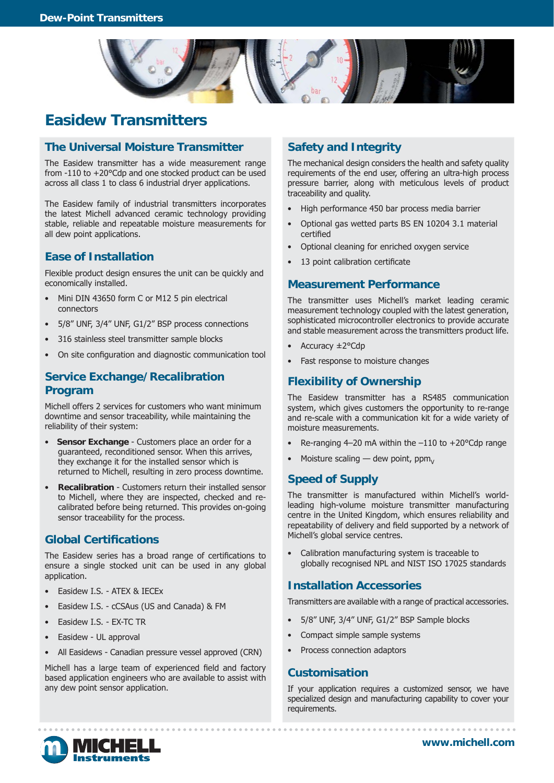

# **Easidew Transmitters**

#### **The Universal Moisture Transmitter**

The Easidew transmitter has a wide measurement range from -110 to +20°Cdp and one stocked product can be used across all class 1 to class 6 industrial dryer applications.

The Easidew family of industrial transmitters incorporates the latest Michell advanced ceramic technology providing stable, reliable and repeatable moisture measurements for all dew point applications.

### **Ease of Installation**

Flexible product design ensures the unit can be quickly and economically installed.

- Mini DIN 43650 form C or M12 5 pin electrical connectors
- 5/8" UNF, 3/4" UNF, G1/2" BSP process connections
- 316 stainless steel transmitter sample blocks
- On site configuration and diagnostic communication tool

#### **Service Exchange/Recalibration Program**

Michell offers 2 services for customers who want minimum downtime and sensor traceability, while maintaining the reliability of their system:

- **Sensor Exchange** Customers place an order for a guaranteed, reconditioned sensor. When this arrives, they exchange it for the installed sensor which is returned to Michell, resulting in zero process downtime.
- **Recalibration** Customers return their installed sensor to Michell, where they are inspected, checked and recalibrated before being returned. This provides on-going sensor traceability for the process.

#### **Global Certifi cations**

The Easidew series has a broad range of certifications to ensure a single stocked unit can be used in any global application.

- Easidew I.S. ATEX & IECEx
- Easidew I.S. cCSAus (US and Canada) & FM
- Easidew I.S. EX-TC TR
- Easidew UL approval
- All Easidews Canadian pressure vessel approved (CRN)

Michell has a large team of experienced field and factory based application engineers who are available to assist with any dew point sensor application.

#### **Safety and Integrity**

The mechanical design considers the health and safety quality requirements of the end user, offering an ultra-high process pressure barrier, along with meticulous levels of product traceability and quality.

- High performance 450 bar process media barrier
- Optional gas wetted parts BS EN 10204 3.1 material certified
- Optional cleaning for enriched oxygen service
- 13 point calibration certificate

#### **Measurement Performance**

The transmitter uses Michell's market leading ceramic measurement technology coupled with the latest generation, sophisticated microcontroller electronics to provide accurate and stable measurement across the transmitters product life.

- Accuracy ±2°Cdp
- Fast response to moisture changes

#### **Flexibility of Ownership**

The Easidew transmitter has a RS485 communication system, which gives customers the opportunity to re-range and re-scale with a communication kit for a wide variety of moisture measurements.

- Re-ranging  $4-20$  mA within the  $-110$  to  $+20^{\circ}$ Cdp range
- Moisture scaling  $-$  dew point, ppm<sub>v</sub>

#### **Speed of Supply**

The transmitter is manufactured within Michell's worldleading high-volume moisture transmitter manufacturing centre in the United Kingdom, which ensures reliability and repeatability of delivery and field supported by a network of Michell's global service centres.

• Calibration manufacturing system is traceable to globally recognised NPL and NIST ISO 17025 standards

#### **Installation Accessories**

Transmitters are available with a range of practical accessories.

- 5/8" UNF, 3/4" UNF, G1/2" BSP Sample blocks
- Compact simple sample systems
- Process connection adaptors

#### **Customisation**

If your application requires a customized sensor, we have specialized design and manufacturing capability to cover your requirements.



. . . . . . . . . . . . . . . . . . .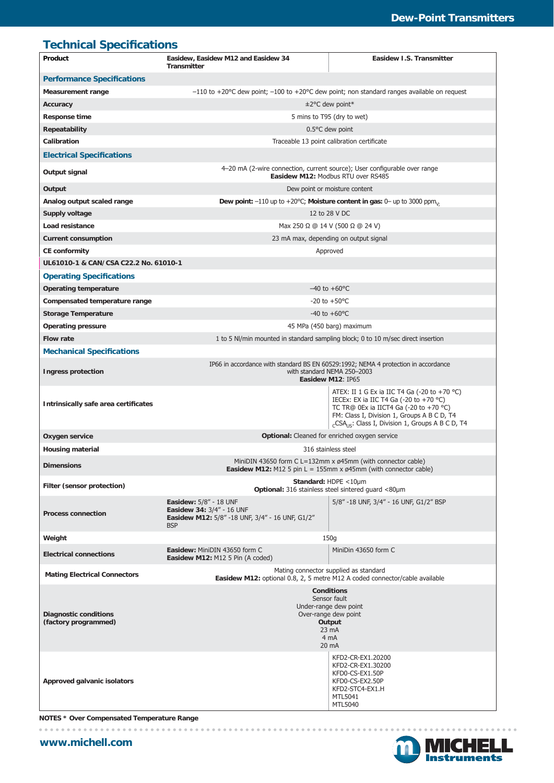## **Technical Specifications**

| Product                                              | Easidew, Easidew M12 and Easidew 34<br><b>Transmitter</b>                                                                                                | Easidew I.S. Transmitter                                                                                                                                                                                                                                                                           |
|------------------------------------------------------|----------------------------------------------------------------------------------------------------------------------------------------------------------|----------------------------------------------------------------------------------------------------------------------------------------------------------------------------------------------------------------------------------------------------------------------------------------------------|
| <b>Performance Specifications</b>                    |                                                                                                                                                          |                                                                                                                                                                                                                                                                                                    |
| <b>Measurement range</b>                             | $-110$ to +20°C dew point; $-100$ to +20°C dew point; non standard ranges available on request                                                           |                                                                                                                                                                                                                                                                                                    |
| Accuracy                                             | $\pm$ 2°C dew point*                                                                                                                                     |                                                                                                                                                                                                                                                                                                    |
| <b>Response time</b>                                 | 5 mins to T95 (dry to wet)                                                                                                                               |                                                                                                                                                                                                                                                                                                    |
| <b>Repeatability</b>                                 | $0.5$ °C dew point                                                                                                                                       |                                                                                                                                                                                                                                                                                                    |
| Calibration                                          | Traceable 13 point calibration certificate                                                                                                               |                                                                                                                                                                                                                                                                                                    |
| <b>Electrical Specifications</b>                     |                                                                                                                                                          |                                                                                                                                                                                                                                                                                                    |
| Output signal                                        | 4-20 mA (2-wire connection, current source); User configurable over range<br>Easidew M12: Modbus RTU over RS485                                          |                                                                                                                                                                                                                                                                                                    |
| Output                                               | Dew point or moisture content                                                                                                                            |                                                                                                                                                                                                                                                                                                    |
| Analog output scaled range                           | Dew point: $-110$ up to $+20^{\circ}$ C; Moisture content in gas: 0- up to 3000 ppm <sub>v:</sub>                                                        |                                                                                                                                                                                                                                                                                                    |
| Supply voltage                                       | 12 to 28 V DC                                                                                                                                            |                                                                                                                                                                                                                                                                                                    |
| Load resistance                                      | Max 250 Ω @ 14 V (500 Ω @ 24 V)                                                                                                                          |                                                                                                                                                                                                                                                                                                    |
| <b>Current consumption</b>                           | 23 mA max, depending on output signal                                                                                                                    |                                                                                                                                                                                                                                                                                                    |
| <b>CE conformity</b>                                 | Approved                                                                                                                                                 |                                                                                                                                                                                                                                                                                                    |
| UL61010-1 & CAN/CSA C22.2 No. 61010-1                |                                                                                                                                                          |                                                                                                                                                                                                                                                                                                    |
| <b>Operating Specifications</b>                      |                                                                                                                                                          |                                                                                                                                                                                                                                                                                                    |
| <b>Operating temperature</b>                         | $-40$ to $+60$ °C                                                                                                                                        |                                                                                                                                                                                                                                                                                                    |
| Compensated temperature range                        | $-20$ to $+50^{\circ}$ C                                                                                                                                 |                                                                                                                                                                                                                                                                                                    |
| <b>Storage Temperature</b>                           | $-40$ to $+60^{\circ}$ C                                                                                                                                 |                                                                                                                                                                                                                                                                                                    |
| <b>Operating pressure</b>                            | 45 MPa (450 barg) maximum                                                                                                                                |                                                                                                                                                                                                                                                                                                    |
| <b>Flow rate</b>                                     | 1 to 5 NI/min mounted in standard sampling block; 0 to 10 m/sec direct insertion                                                                         |                                                                                                                                                                                                                                                                                                    |
|                                                      |                                                                                                                                                          |                                                                                                                                                                                                                                                                                                    |
| <b>Mechanical Specifications</b>                     |                                                                                                                                                          |                                                                                                                                                                                                                                                                                                    |
| <b>Ingress protection</b>                            | IP66 in accordance with standard BS EN 60529:1992; NEMA 4 protection in accordance<br>with standard NEMA 250-2003<br>Easidew M12: IP65                   |                                                                                                                                                                                                                                                                                                    |
| Intrinsically safe area certificates                 |                                                                                                                                                          | ATEX: II 1 G Ex ia IIC T4 Ga (-20 to +70 $^{\circ}$ C)<br>IECEx: EX ia IIC T4 Ga $(-20 \text{ to } +70 \text{ °C})$<br>TC TR@ 0Ex ia IICT4 Ga (-20 to +70 $^{\circ}$ C)<br>FM: Class I, Division 1, Groups A B C D, T4<br><sub>C</sub> CSA <sub>US</sub> : Class I, Division 1, Groups A B C D, T4 |
| Oxygen service                                       | Optional: Cleaned for enriched oxygen service                                                                                                            |                                                                                                                                                                                                                                                                                                    |
| <b>Housing material</b>                              | 316 stainless steel                                                                                                                                      |                                                                                                                                                                                                                                                                                                    |
| <b>Dimensions</b>                                    | MiniDIN 43650 form C L=132mm x ø45mm (with connector cable)                                                                                              |                                                                                                                                                                                                                                                                                                    |
| Filter (sensor protection)                           | Easidew M12: M12 5 pin L = 155mm x $\emptyset$ 45mm (with connector cable)<br>Standard: HDPE <10µm<br>Optional: 316 stainless steel sintered quard <80um |                                                                                                                                                                                                                                                                                                    |
|                                                      |                                                                                                                                                          |                                                                                                                                                                                                                                                                                                    |
| <b>Process connection</b>                            | <b>Easidew: 5/8" - 18 UNF</b><br>Easidew 34: 3/4" - 16 UNF<br>Easidew M12: 5/8" -18 UNF, 3/4" - 16 UNF, G1/2"<br><b>BSP</b>                              | 5/8" -18 UNF, 3/4" - 16 UNF, G1/2" BSP                                                                                                                                                                                                                                                             |
| Weight                                               | 150g                                                                                                                                                     |                                                                                                                                                                                                                                                                                                    |
| <b>Electrical connections</b>                        | Easidew: MiniDIN 43650 form C<br>Easidew M12: M12 5 Pin (A coded)                                                                                        | MiniDin 43650 form C                                                                                                                                                                                                                                                                               |
| <b>Mating Electrical Connectors</b>                  | Mating connector supplied as standard<br>Easidew M12: optional 0.8, 2, 5 metre M12 A coded connector/cable available                                     |                                                                                                                                                                                                                                                                                                    |
| <b>Diagnostic conditions</b><br>(factory programmed) | <b>Conditions</b><br>Sensor fault<br>Under-range dew point<br>Over-range dew point<br>Output<br>$23 \text{ mA}$<br>4 <sub>m</sub> A<br>20 mA             |                                                                                                                                                                                                                                                                                                    |
| Approved galvanic isolators                          |                                                                                                                                                          | KFD2-CR-EX1.20200<br>KFD2-CR-EX1.30200<br>KFD0-CS-EX1.50P<br>KFD0-CS-EX2.50P<br>KFD2-STC4-EX1.H<br>MTL5041<br>MTL5040                                                                                                                                                                              |

**NOTES \* Over Compensated Temperature Range**